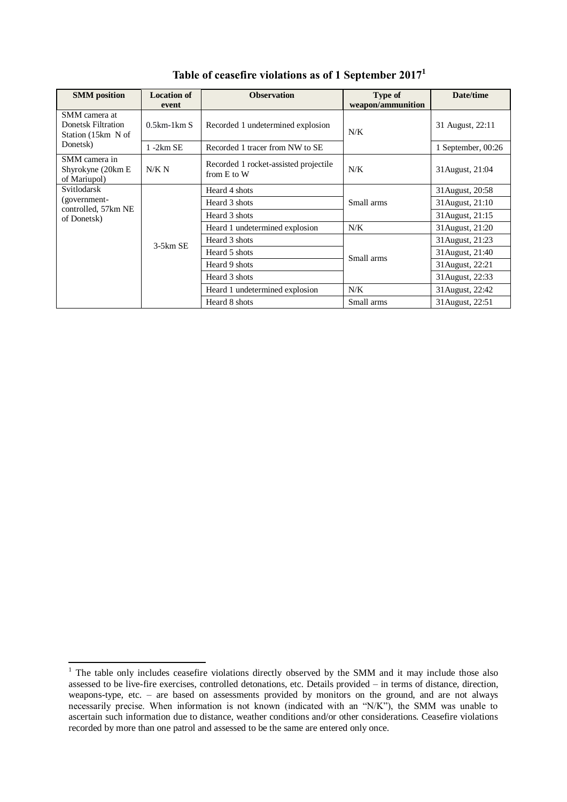| <b>SMM</b> position                                                   | <b>Location of</b> | <b>Observation</b>                                   | Type of           | Date/time          |
|-----------------------------------------------------------------------|--------------------|------------------------------------------------------|-------------------|--------------------|
|                                                                       | event              |                                                      | weapon/ammunition |                    |
| SMM camera at<br>Donetsk Filtration<br>Station (15km N of<br>Donetsk) | $0.5$ km-1 $km S$  | Recorded 1 undetermined explosion                    | N/K               | 31 August, 22:11   |
|                                                                       | $1 - 2km$ SE       | Recorded 1 tracer from NW to SE                      |                   | 1 September, 00:26 |
| SMM camera in<br>Shyrokyne (20km E<br>of Mariupol)                    | N/K N              | Recorded 1 rocket-assisted projectile<br>from E to W | N/K               | 31 August, 21:04   |
| Svitlodarsk<br>(government-<br>controlled, 57km NE<br>of Donetsk)     | $3-5km$ SE         | Heard 4 shots                                        | Small arms        | 31 August, 20:58   |
|                                                                       |                    | Heard 3 shots                                        |                   | 31 August, 21:10   |
|                                                                       |                    | Heard 3 shots                                        |                   | 31 August, 21:15   |
|                                                                       |                    | Heard 1 undetermined explosion                       | N/K               | 31 August, 21:20   |
|                                                                       |                    | Heard 3 shots                                        | Small arms        | 31 August, 21:23   |
|                                                                       |                    | Heard 5 shots                                        |                   | 31 August, 21:40   |
|                                                                       |                    | Heard 9 shots                                        |                   | 31 August, 22:21   |
|                                                                       |                    | Heard 3 shots                                        |                   | 31August, 22:33    |
|                                                                       |                    | Heard 1 undetermined explosion                       | N/K               | 31 August, 22:42   |
|                                                                       |                    | Heard 8 shots                                        | Small arms        | 31 August, 22:51   |

**Table of ceasefire violations as of 1 September 2017<sup>1</sup>**

1

 $1$  The table only includes ceasefire violations directly observed by the SMM and it may include those also assessed to be live-fire exercises, controlled detonations, etc. Details provided – in terms of distance, direction, weapons-type, etc. – are based on assessments provided by monitors on the ground, and are not always necessarily precise. When information is not known (indicated with an "N/K"), the SMM was unable to ascertain such information due to distance, weather conditions and/or other considerations. Ceasefire violations recorded by more than one patrol and assessed to be the same are entered only once.